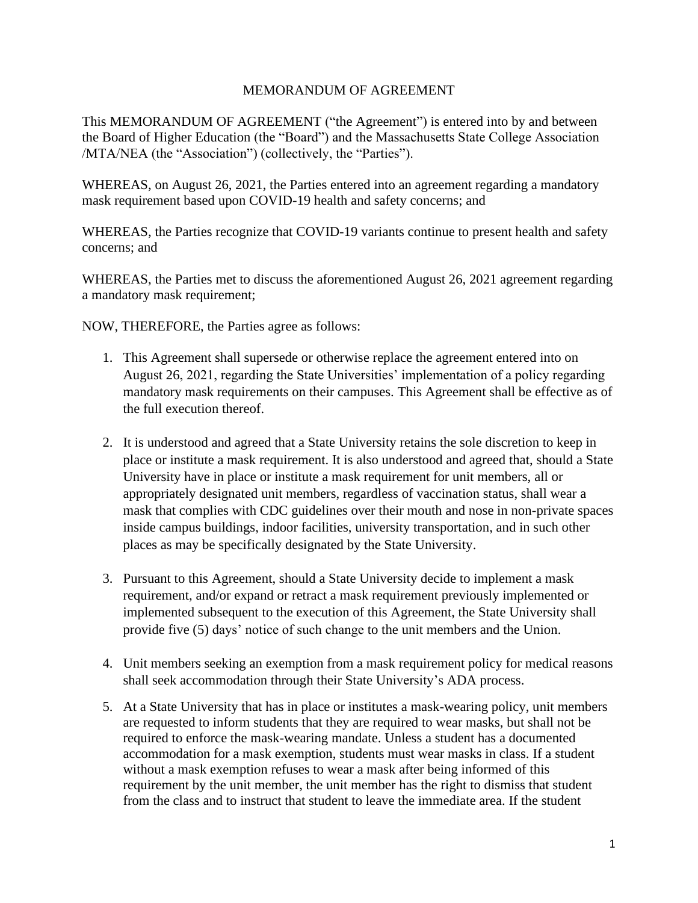## MEMORANDUM OF AGREEMENT

This MEMORANDUM OF AGREEMENT ("the Agreement") is entered into by and between the Board of Higher Education (the "Board") and the Massachusetts State College Association /MTA/NEA (the "Association") (collectively, the "Parties").

WHEREAS, on August 26, 2021, the Parties entered into an agreement regarding a mandatory mask requirement based upon COVID-19 health and safety concerns; and

WHEREAS, the Parties recognize that COVID-19 variants continue to present health and safety concerns; and

WHEREAS, the Parties met to discuss the aforementioned August 26, 2021 agreement regarding a mandatory mask requirement;

NOW, THEREFORE, the Parties agree as follows:

- 1. This Agreement shall supersede or otherwise replace the agreement entered into on August 26, 2021, regarding the State Universities' implementation of a policy regarding mandatory mask requirements on their campuses. This Agreement shall be effective as of the full execution thereof.
- 2. It is understood and agreed that a State University retains the sole discretion to keep in place or institute a mask requirement. It is also understood and agreed that, should a State University have in place or institute a mask requirement for unit members, all or appropriately designated unit members, regardless of vaccination status, shall wear a mask that complies with CDC guidelines over their mouth and nose in non-private spaces inside campus buildings, indoor facilities, university transportation, and in such other places as may be specifically designated by the State University.
- 3. Pursuant to this Agreement, should a State University decide to implement a mask requirement, and/or expand or retract a mask requirement previously implemented or implemented subsequent to the execution of this Agreement, the State University shall provide five (5) days' notice of such change to the unit members and the Union.
- 4. Unit members seeking an exemption from a mask requirement policy for medical reasons shall seek accommodation through their State University's ADA process.
- 5. At a State University that has in place or institutes a mask-wearing policy, unit members are requested to inform students that they are required to wear masks, but shall not be required to enforce the mask-wearing mandate. Unless a student has a documented accommodation for a mask exemption, students must wear masks in class. If a student without a mask exemption refuses to wear a mask after being informed of this requirement by the unit member, the unit member has the right to dismiss that student from the class and to instruct that student to leave the immediate area. If the student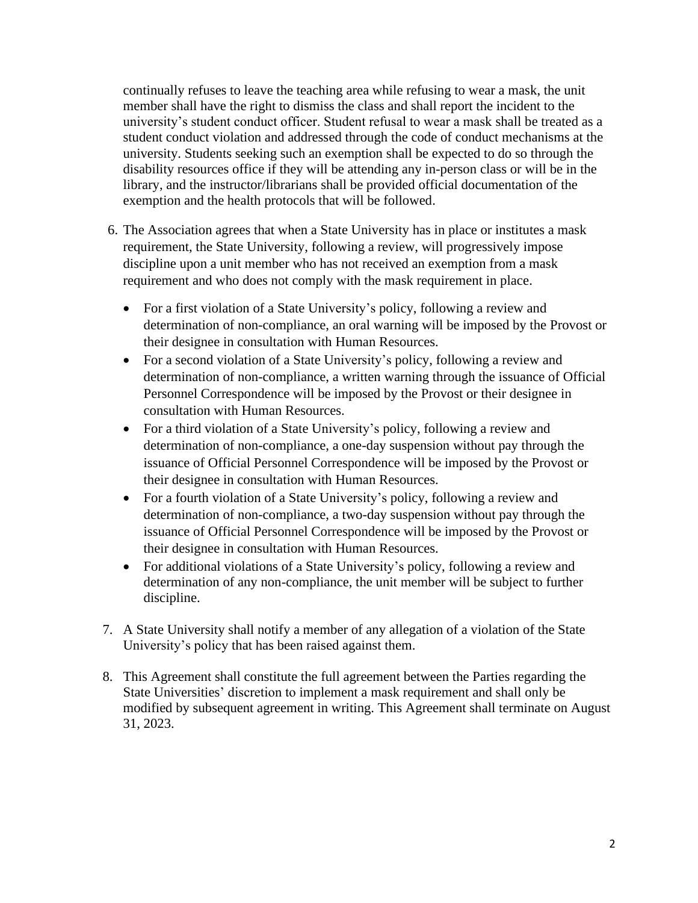continually refuses to leave the teaching area while refusing to wear a mask, the unit member shall have the right to dismiss the class and shall report the incident to the university's student conduct officer. Student refusal to wear a mask shall be treated as a student conduct violation and addressed through the code of conduct mechanisms at the university. Students seeking such an exemption shall be expected to do so through the disability resources office if they will be attending any in-person class or will be in the library, and the instructor/librarians shall be provided official documentation of the exemption and the health protocols that will be followed.

- 6. The Association agrees that when a State University has in place or institutes a mask requirement, the State University, following a review, will progressively impose discipline upon a unit member who has not received an exemption from a mask requirement and who does not comply with the mask requirement in place.
	- For a first violation of a State University's policy, following a review and determination of non-compliance, an oral warning will be imposed by the Provost or their designee in consultation with Human Resources.
	- For a second violation of a State University's policy, following a review and determination of non-compliance, a written warning through the issuance of Official Personnel Correspondence will be imposed by the Provost or their designee in consultation with Human Resources.
	- For a third violation of a State University's policy, following a review and determination of non-compliance, a one-day suspension without pay through the issuance of Official Personnel Correspondence will be imposed by the Provost or their designee in consultation with Human Resources.
	- For a fourth violation of a State University's policy, following a review and determination of non-compliance, a two-day suspension without pay through the issuance of Official Personnel Correspondence will be imposed by the Provost or their designee in consultation with Human Resources.
	- For additional violations of a State University's policy, following a review and determination of any non-compliance, the unit member will be subject to further discipline.
- 7. A State University shall notify a member of any allegation of a violation of the State University's policy that has been raised against them.
- 8. This Agreement shall constitute the full agreement between the Parties regarding the State Universities' discretion to implement a mask requirement and shall only be modified by subsequent agreement in writing. This Agreement shall terminate on August 31, 2023.